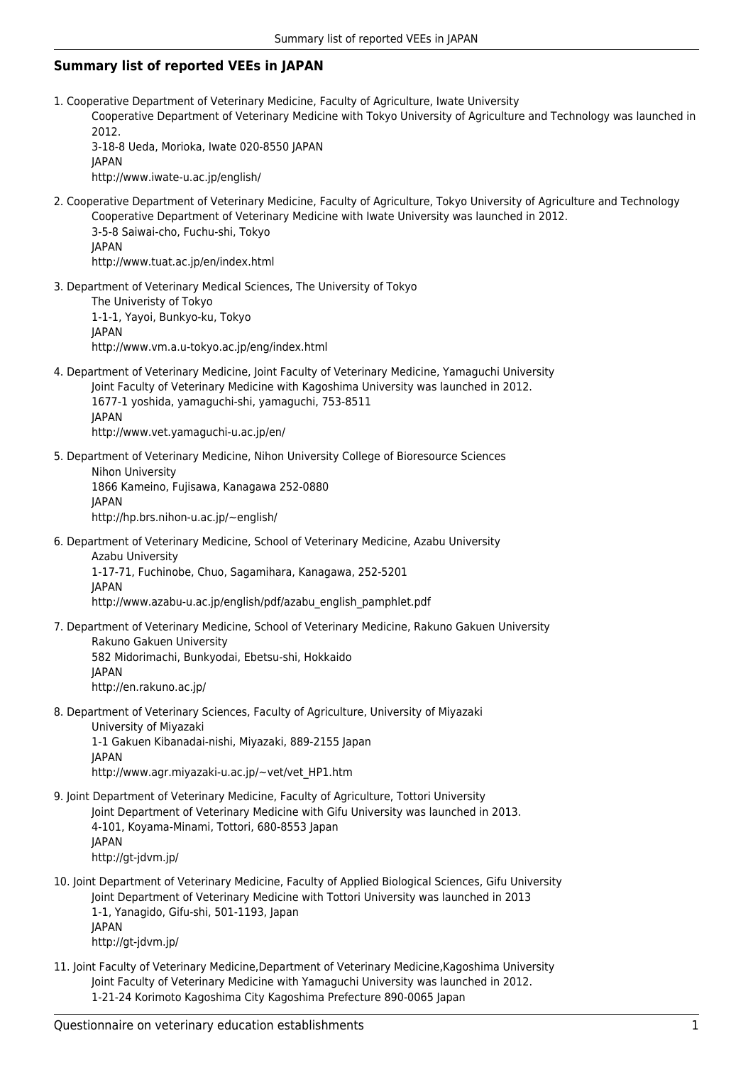## **Summary list of reported VEEs in JAPAN**

1. Cooperative Department of Veterinary Medicine, Faculty of Agriculture, Iwate University

Cooperative Department of Veterinary Medicine with Tokyo University of Agriculture and Technology was launched in 2012.

3-18-8 Ueda, Morioka, Iwate 020-8550 JAPAN JAPAN http://www.iwate-u.ac.jp/english/

2. Cooperative Department of Veterinary Medicine, Faculty of Agriculture, Tokyo University of Agriculture and Technology Cooperative Department of Veterinary Medicine with Iwate University was launched in 2012. 3-5-8 Saiwai-cho, Fuchu-shi, Tokyo

JAPAN http://www.tuat.ac.jp/en/index.html

3. Department of Veterinary Medical Sciences, The University of Tokyo The Univeristy of Tokyo 1-1-1, Yayoi, Bunkyo-ku, Tokyo JAPAN http://www.vm.a.u-tokyo.ac.jp/eng/index.html

4. Department of Veterinary Medicine, Joint Faculty of Veterinary Medicine, Yamaguchi University Joint Faculty of Veterinary Medicine with Kagoshima University was launched in 2012. 1677-1 yoshida, yamaguchi-shi, yamaguchi, 753-8511 JAPAN http://www.vet.yamaguchi-u.ac.jp/en/

5. Department of Veterinary Medicine, Nihon University College of Bioresource Sciences Nihon University 1866 Kameino, Fujisawa, Kanagawa 252-0880 JAPAN http://hp.brs.nihon-u.ac.jp/~english/

6. Department of Veterinary Medicine, School of Veterinary Medicine, Azabu University Azabu University 1-17-71, Fuchinobe, Chuo, Sagamihara, Kanagawa, 252-5201

JAPAN http://www.azabu-u.ac.jp/english/pdf/azabu\_english\_pamphlet.pdf

7. Department of Veterinary Medicine, School of Veterinary Medicine, Rakuno Gakuen University Rakuno Gakuen University 582 Midorimachi, Bunkyodai, Ebetsu-shi, Hokkaido JAPAN

http://en.rakuno.ac.jp/

- 8. Department of Veterinary Sciences, Faculty of Agriculture, University of Miyazaki University of Miyazaki 1-1 Gakuen Kibanadai-nishi, Miyazaki, 889-2155 Japan JAPAN http://www.agr.miyazaki-u.ac.jp/~vet/vet\_HP1.htm
- 9. Joint Department of Veterinary Medicine, Faculty of Agriculture, Tottori University Joint Department of Veterinary Medicine with Gifu University was launched in 2013. 4-101, Koyama-Minami, Tottori, 680-8553 Japan **JAPAN** http://gt-jdvm.jp/
- 10. Joint Department of Veterinary Medicine, Faculty of Applied Biological Sciences, Gifu University Joint Department of Veterinary Medicine with Tottori University was launched in 2013 1-1, Yanagido, Gifu-shi, 501-1193, Japan JAPAN http://gt-jdvm.jp/
- 11. Joint Faculty of Veterinary Medicine,Department of Veterinary Medicine,Kagoshima University Joint Faculty of Veterinary Medicine with Yamaguchi University was launched in 2012. 1-21-24 Korimoto Kagoshima City Kagoshima Prefecture 890-0065 Japan